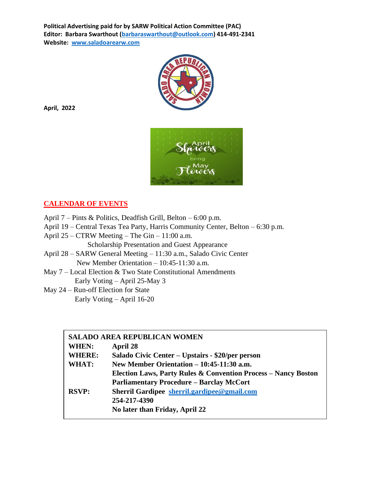

**April, 2022**



#### **CALENDAR OF EVENTS**

- April 7 Pints & Politics, Deadfish Grill, Belton 6:00 p.m.
- April 19 Central Texas Tea Party, Harris Community Center, Belton 6:30 p.m.
- April 25 CTRW Meeting The Gin 11:00 a.m.
	- Scholarship Presentation and Guest Appearance
- April 28 SARW General Meeting 11:30 a.m., Salado Civic Center New Member Orientation – 10:45-11:30 a.m.
- May 7 Local Election & Two State Constitutional Amendments Early Voting – April 25-May 3
- May 24 Run-off Election for State Early Voting – April 16-20

| <b>SALADO AREA REPUBLICAN WOMEN</b> |                                                                           |  |  |
|-------------------------------------|---------------------------------------------------------------------------|--|--|
| WHEN:                               | April 28                                                                  |  |  |
| <b>WHERE:</b>                       | Salado Civic Center - Upstairs - \$20/per person                          |  |  |
| WHAT:                               | New Member Orientation $-10:45-11:30$ a.m.                                |  |  |
|                                     | <b>Election Laws, Party Rules &amp; Convention Process - Nancy Boston</b> |  |  |
|                                     | <b>Parliamentary Procedure - Barclay McCort</b>                           |  |  |
| <b>RSVP:</b>                        | Sherril Gardipee sherril.gardipee@gmail.com                               |  |  |
|                                     | 254-217-4390                                                              |  |  |
|                                     | No later than Friday, April 22                                            |  |  |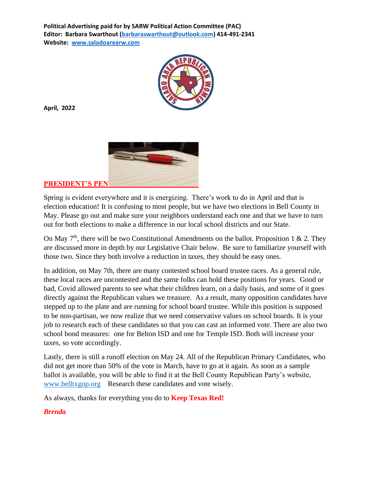

**April, 2022**



**PRESIDENT'S PEN**

Spring is evident everywhere and it is energizing. There's work to do in April and that is election education! It is confusing to most people, but we have two elections in Bell County in May. Please go out and make sure your neighbors understand each one and that we have to turn out for both elections to make a difference in our local school districts and our State.

On May  $7<sup>th</sup>$ , there will be two Constitutional Amendments on the ballot. Proposition 1 & 2. They are discussed more in depth by our Legislative Chair below. Be sure to familiarize yourself with those two. Since they both involve a reduction in taxes, they should be easy ones.

In addition, on May 7th, there are many contested school board trustee races. As a general rule, these local races are uncontested and the same folks can hold these positions for years. Good or bad, Covid allowed parents to see what their children learn, on a daily basis, and some of it goes directly against the Republican values we treasure. As a result, many opposition candidates have stepped up to the plate and are running for school board trustee. While this position is supposed to be non-partisan, we now realize that we need conservative values on school boards. It is your job to research each of these candidates so that you can cast an informed vote. There are also two school bond measures: one for Belton ISD and one for Temple ISD. Both will increase your taxes, so vote accordingly.

Lastly, there is still a runoff election on May 24. All of the Republican Primary Candidates, who did not get more than 50% of the vote in March, have to go at it again. As soon as a sample ballot is available, you will be able to find it at the Bell County Republican Party's website, [www.belltxgop.org](http://www.belltxgop.org/) Research these candidates and vote wisely.

As always, thanks for everything you do to **Keep Texas Red!**

#### *Brenda*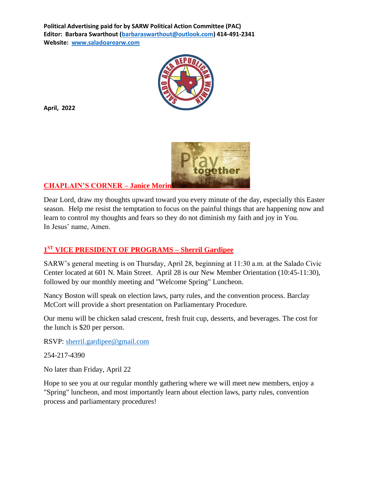

**April, 2022**



**CHAPLAIN'S CORNER – Janice Morin**

Dear Lord, draw my thoughts upward toward you every minute of the day, especially this Easter season. Help me resist the temptation to focus on the painful things that are happening now and learn to control my thoughts and fears so they do not diminish my faith and joy in You. In Jesus' name, Amen.

### **1 ST VICE PRESIDENT OF PROGRAMS – Sherril Gardipee**

SARW's general meeting is on Thursday, April 28, beginning at 11:30 a.m. at the Salado Civic Center located at 601 N. Main Street. April 28 is our New Member Orientation (10:45-11:30), followed by our monthly meeting and "Welcome Spring" Luncheon.

Nancy Boston will speak on election laws, party rules, and the convention process. Barclay McCort will provide a short presentation on Parliamentary Procedure.

Our menu will be chicken salad crescent, fresh fruit cup, desserts, and beverages. The cost for the lunch is \$20 per person.

RSVP: [sherril.gardipee@gmail.com](mailto:sherril.gardipee@gmail.com)

254-217-4390

No later than Friday, April 22

Hope to see you at our regular monthly gathering where we will meet new members, enjoy a "Spring" luncheon, and most importantly learn about election laws, party rules, convention process and parliamentary procedures!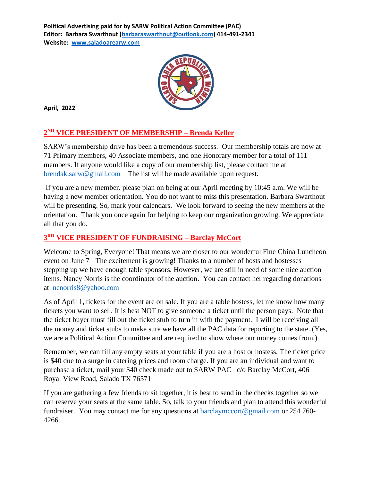

**April, 2022**

### **2 ND VICE PRESIDENT OF MEMBERSHIP – Brenda Keller**

SARW's membership drive has been a tremendous success. Our membership totals are now at 71 Primary members, 40 Associate members, and one Honorary member for a total of 111 members. If anyone would like a copy of our membership list, please contact me at [brendak.sarw@gmail.com](mailto:brendak.sarw@gmail.com) The list will be made available upon request.

If you are a new member. please plan on being at our April meeting by 10:45 a.m. We will be having a new member orientation. You do not want to miss this presentation. Barbara Swarthout will be presenting. So, mark your calendars. We look forward to seeing the new members at the orientation. Thank you once again for helping to keep our organization growing. We appreciate all that you do.

### **3 RD VICE PRESIDENT OF FUNDRAISING – Barclay McCort**

Welcome to Spring, Everyone! That means we are closer to our wonderful Fine China Luncheon event on June 7 The excitement is growing! Thanks to a number of hosts and hostesses stepping up we have enough table sponsors. However, we are still in need of some nice auction items. Nancy Norris is the coordinator of the auction. You can contact her regarding donations at [ncnorris8@yahoo.com](mailto:ncnorris8@yahoo.com)

As of April 1, tickets for the event are on sale. If you are a table hostess, let me know how many tickets you want to sell. It is best NOT to give someone a ticket until the person pays. Note that the ticket buyer must fill out the ticket stub to turn in with the payment. I will be receiving all the money and ticket stubs to make sure we have all the PAC data for reporting to the state. (Yes, we are a Political Action Committee and are required to show where our money comes from.)

Remember, we can fill any empty seats at your table if you are a host or hostess. The ticket price is \$40 due to a surge in catering prices and room charge. If you are an individual and want to purchase a ticket, mail your \$40 check made out to SARW PAC c/o Barclay McCort, 406 Royal View Road, Salado TX 76571

If you are gathering a few friends to sit together, it is best to send in the checks together so we can reserve your seats at the same table. So, talk to your friends and plan to attend this wonderful fundraiser. You may contact me for any questions at [barclaymccort@gmail.com](mailto:barclaymccort@gmail.com) or 254 760- 4266.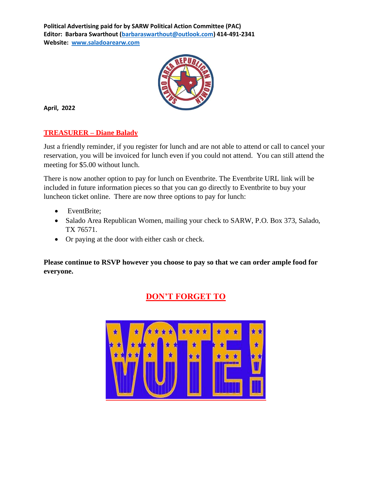

**April, 2022**

#### **TREASURER – Diane Balady**

Just a friendly reminder, if you register for lunch and are not able to attend or call to cancel your reservation, you will be invoiced for lunch even if you could not attend. You can still attend the meeting for \$5.00 without lunch.

There is now another option to pay for lunch on Eventbrite. The Eventbrite URL link will be included in future information pieces so that you can go directly to Eventbrite to buy your luncheon ticket online. There are now three options to pay for lunch:

- EventBrite;
- Salado Area Republican Women, mailing your check to SARW, P.O. Box 373, Salado, TX 76571.
- Or paying at the door with either cash or check.

**Please continue to RSVP however you choose to pay so that we can order ample food for everyone.**



# **DON'T FORGET TO**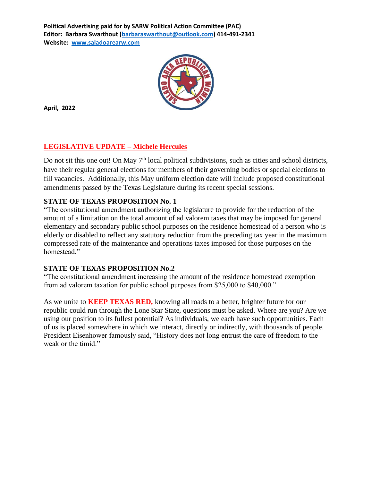

**April, 2022**

### **LEGISLATIVE UPDATE – Michele Hercules**

Do not sit this one out! On May  $7<sup>th</sup>$  local political subdivisions, such as cities and school districts, have their regular general elections for members of their governing bodies or special elections to fill vacancies. Additionally, this May uniform election date will include proposed constitutional amendments passed by the Texas Legislature during its recent special sessions.

### **STATE OF TEXAS PROPOSITION No. 1**

"The constitutional amendment authorizing the legislature to provide for the reduction of the amount of a limitation on the total amount of ad valorem taxes that may be imposed for general elementary and secondary public school purposes on the residence homestead of a person who is elderly or disabled to reflect any statutory reduction from the preceding tax year in the maximum compressed rate of the maintenance and operations taxes imposed for those purposes on the homestead."

#### **STATE OF TEXAS PROPOSITION No.2**

"The constitutional amendment increasing the amount of the residence homestead exemption from ad valorem taxation for public school purposes from \$25,000 to \$40,000."

As we unite to **KEEP TEXAS RED,** knowing all roads to a better, brighter future for our republic could run through the Lone Star State, questions must be asked. Where are you? Are we using our position to its fullest potential? As individuals, we each have such opportunities. Each of us is placed somewhere in which we interact, directly or indirectly, with thousands of people. President Eisenhower famously said, "History does not long entrust the care of freedom to the weak or the timid."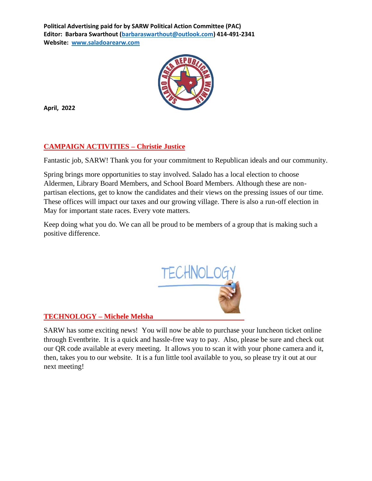

**April, 2022**

## **CAMPAIGN ACTIVITIES – Christie Justice**

Fantastic job, SARW! Thank you for your commitment to Republican ideals and our community.

Spring brings more opportunities to stay involved. Salado has a local election to choose Aldermen, Library Board Members, and School Board Members. Although these are nonpartisan elections, get to know the candidates and their views on the pressing issues of our time. These offices will impact our taxes and our growing village. There is also a run-off election in May for important state races. Every vote matters.

Keep doing what you do. We can all be proud to be members of a group that is making such a positive difference.



### **TECHNOLOGY – Michele Melsha**

SARW has some exciting news! You will now b[e able to](https://creativecommons.org/licenses/by-sa/3.0/) purchase your luncheon ticket online through Eventbrite. It is a quick and hassle-free way to pay. Also, please be sure and check out our QR code available at every meeting. It allows you to scan it with your phone camera and it, then, takes you to our website. It is a fun little tool available to you, so please try it out at our next meeting!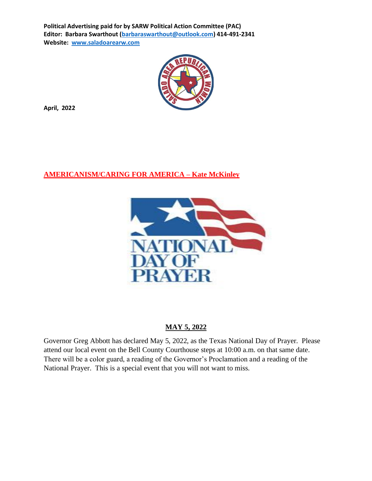

**April, 2022**

### **AMERICANISM/CARING FOR AMERICA – Kate McKinley**



#### **MAY 5, 2022**

Governor Greg Abbott has declared May 5, 2022, as the Texas National Day of Prayer. Please attend our local event on the Bell County Courthouse steps at 10:00 a.m. on that same date. There will be a color guard, a reading of the Governor's Proclamation and a reading of the National Prayer. This is a special event that you will not want to miss.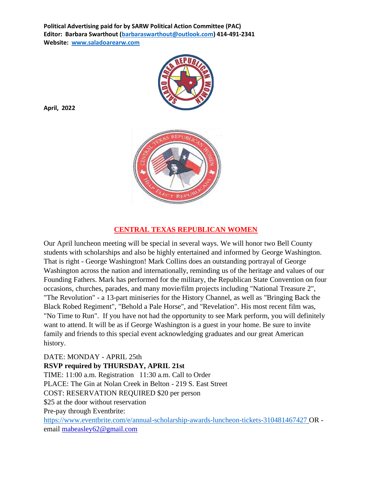

#### **CENTRAL TEXAS REPUBLICAN WOMEN**

Our April luncheon meeting will be special in several ways. We will honor two Bell County students with scholarships and also be highly entertained and informed by George Washington. That is right - George Washington! Mark Collins does an outstanding portrayal of George Washington across the nation and internationally, reminding us of the heritage and values of our Founding Fathers. Mark has performed for the military, the Republican State Convention on four occasions, churches, parades, and many movie/film projects including "National Treasure 2", "The Revolution" - a 13-part miniseries for the History Channel, as well as "Bringing Back the Black Robed Regiment", "Behold a Pale Horse", and "Revelation". His most recent film was, "No Time to Run". If you have not had the opportunity to see Mark perform, you will definitely want to attend. It will be as if George Washington is a guest in your home. Be sure to invite family and friends to this special event acknowledging graduates and our great American history.

DATE: MONDAY - APRIL 25th **RSVP required by THURSDAY, APRIL 21st** TIME: 11:00 a.m. Registration 11:30 a.m. Call to Order PLACE: The Gin at Nolan Creek in Belton - 219 S. East Street COST: RESERVATION REQUIRED \$20 per person \$25 at the door without reservation Pre-pay through Eventbrite: <https://www.eventbrite.com/e/annual-scholarship-awards-luncheon-tickets-310481467427> OR email [mabeasley62@gmail.com](mailto:mabeasley62@gmail.com)

**April, 2022**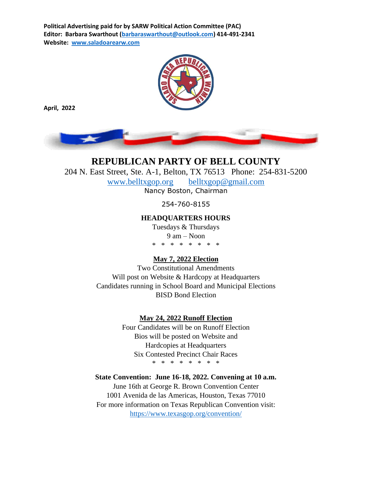

**April, 2022**



**REPUBLICAN PARTY OF BELL COUNTY**  204 N. East Street, Ste. A-1, Belton, TX 76513 Phone: 254-831-5200 [www.belltxgop.org](http://www.belltxgop.org/) [belltxgop@gmail.com](mailto:belltxgop@gmail.com) Nancy Boston, Chairman 254-760-8155

#### **HEADQUARTERS HOURS**

Tuesdays & Thursdays 9 am – Noon \* \* \* \* \* \* \* \*

#### **May 7, 2022 Election**

Two Constitutional Amendments Will post on Website & Hardcopy at Headquarters Candidates running in School Board and Municipal Elections BISD Bond Election

#### **May 24, 2022 Runoff Election**

Four Candidates will be on Runoff Election Bios will be posted on Website and Hardcopies at Headquarters Six Contested Precinct Chair Races \* \* \* \* \* \* \* \*

#### **State Convention: June 16-18, 2022. Convening at 10 a.m.**

June 16th at George R. Brown Convention Center 1001 Avenida de las Americas, Houston, Texas 77010 For more information on Texas Republican Convention visit: <https://www.texasgop.org/convention/>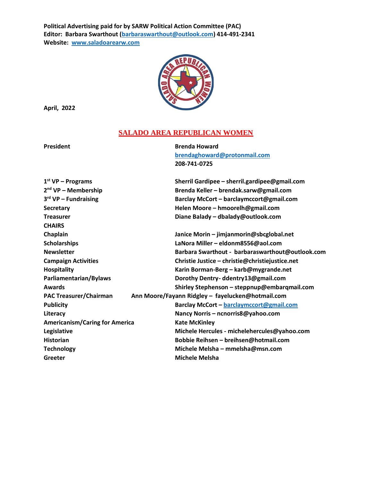

**April, 2022**

#### **SALADO AREA REPUBLICAN WOMEN**

**President Brenda Howard [brendaghoward@protonmail.com](mailto:brendaghoward@protonmail.com) 208-741-0725**

| $1st VP - Programs$                   | Sherril Gardipee - sherril.gardipee@gmail.com     |
|---------------------------------------|---------------------------------------------------|
| 2 <sup>nd</sup> VP - Membership       | Brenda Keller - brendak.sarw@gmail.com            |
| 3 <sup>rd</sup> VP - Fundraising      | Barclay McCort - barclaymccort@gmail.com          |
| <b>Secretary</b>                      | Helen Moore - hmoorelh@gmail.com                  |
| <b>Treasurer</b>                      | Diane Balady - dbalady@outlook.com                |
| <b>CHAIRS</b>                         |                                                   |
| Chaplain                              | Janice Morin - jimjanmorin@sbcglobal.net          |
| <b>Scholarships</b>                   | LaNora Miller - eldonm8556@aol.com                |
| <b>Newsletter</b>                     | Barbara Swarthout - barbaraswarthout@outlook.com  |
| <b>Campaign Activities</b>            | Christie Justice - christie@christiejustice.net   |
| <b>Hospitality</b>                    | Karin Borman-Berg - karb@mygrande.net             |
| Parliamentarian/Bylaws                | Dorothy Dentry-ddentry13@gmail.com                |
| Awards                                | Shirley Stephenson - steppnup@embarqmail.com      |
| <b>PAC Treasurer/Chairman</b>         | Ann Moore/Fayann Ridgley - fayelucken@hotmail.com |
| <b>Publicity</b>                      | Barclay McCort - barclaymccort@gmail.com          |
| Literacy                              | Nancy Norris - ncnorris8@yahoo.com                |
| <b>Americanism/Caring for America</b> | <b>Kate McKinley</b>                              |
| Legislative                           | Michele Hercules - michelehercules@yahoo.com      |
| <b>Historian</b>                      | Bobbie Reihsen - breihsen@hotmail.com             |
| <b>Technology</b>                     | Michele Melsha - mmelsha@msn.com                  |
| Greeter                               | <b>Michele Melsha</b>                             |